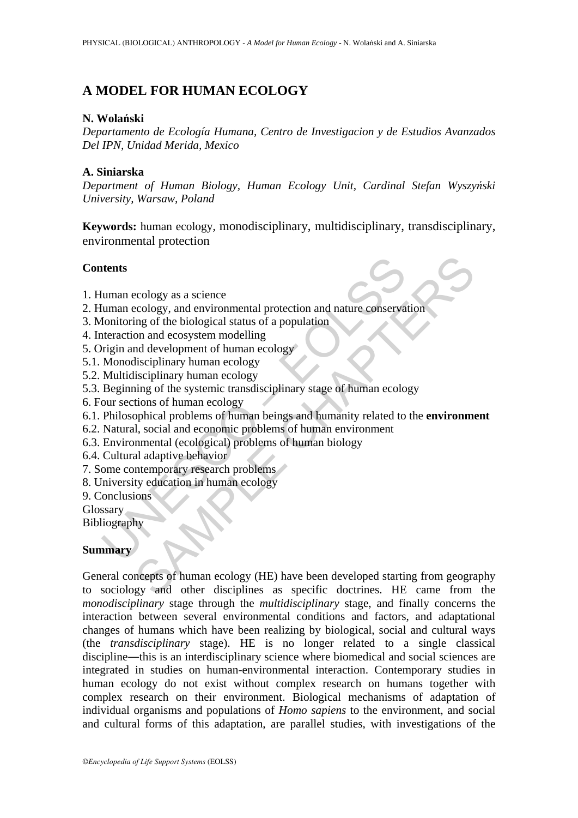# **A MODEL FOR HUMAN ECOLOGY**

### **N. Wolański**

*Departamento de Ecología Humana, Centro de Investigacion y de Estudios Avanzados Del IPN, Unidad Merida, Mexico* 

### **A. Siniarska**

*Department of Human Biology, Human Ecology Unit, Cardinal Stefan Wyszyński University, Warsaw, Poland* 

**Keywords:** human ecology, monodisciplinary, multidisciplinary, transdisciplinary, environmental protection

#### **Contents**

- 1. Human ecology as a science
- 2. Human ecology, and environmental protection and nature conservation
- 3. Monitoring of the biological status of a population
- 4. Interaction and ecosystem modelling
- 5. Origin and development of human ecology
- 5.1. Monodisciplinary human ecology
- 5.2. Multidisciplinary human ecology
- The state of the state of the state of the state of the state of the state of the state of the biological states of a population and acture conservation and econsystem modelling<br>the prigin and development of human ecology<br> 5.3. Beginning of the systemic transdisciplinary stage of human ecology
- 6. Four sections of human ecology
- 6.1. Philosophical problems of human beings and humanity related to the **environment**
- 6.2. Natural, social and economic problems of human environment
- 6.3. Environmental (ecological) problems of human biology
- 6.4. Cultural adaptive behavior
- 7. Some contemporary research problems
- 8. University education in human ecology
- 9. Conclusions
- Glossary
- Bibliography

# **Summary**

cology as a science<br>
ecology, and environmental protection and nature conservation<br>
ing of the biological status of a population<br>
on and ecosystem modelling<br>
and development of human ecology<br>
isciplinary human ecology<br>
isc General concepts of human ecology (HE) have been developed starting from geography to sociology and other disciplines as specific doctrines. HE came from the *monodisciplinary* stage through the *multidisciplinary* stage, and finally concerns the interaction between several environmental conditions and factors, and adaptational changes of humans which have been realizing by biological, social and cultural ways (the *transdisciplinary* stage). HE is no longer related to a single classical discipline―this is an interdisciplinary science where biomedical and social sciences are integrated in studies on human-environmental interaction. Contemporary studies in human ecology do not exist without complex research on humans together with complex research on their environment. Biological mechanisms of adaptation of individual organisms and populations of *Homo sapiens* to the environment, and social and cultural forms of this adaptation, are parallel studies, with investigations of the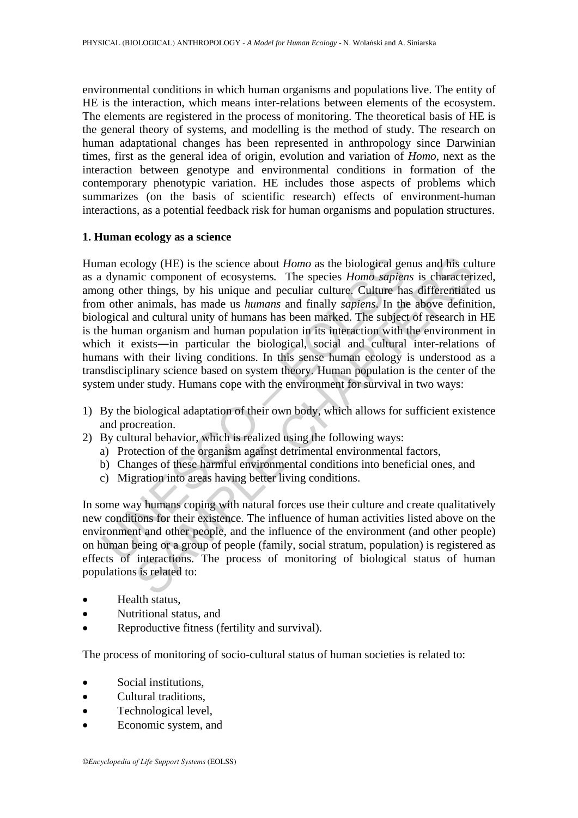environmental conditions in which human organisms and populations live. The entity of HE is the interaction, which means inter-relations between elements of the ecosystem. The elements are registered in the process of monitoring. The theoretical basis of HE is the general theory of systems, and modelling is the method of study. The research on human adaptational changes has been represented in anthropology since Darwinian times, first as the general idea of origin, evolution and variation of *Homo*, next as the interaction between genotype and environmental conditions in formation of the contemporary phenotypic variation. HE includes those aspects of problems which summarizes (on the basis of scientific research) effects of environment-human interactions, as a potential feedback risk for human organisms and population structures.

#### **1. Human ecology as a science**

man ecology (HE) is the science about *Homo* as the biological ge dynamic component of ecosystems. The species *Homo sapien* and other animals, has made us *humans* and finally *sapiens*. In the onder animals, has made us blogy (HE) is the science about *Homo* as the biological genus and his cultic component of ecosystems. The species *Homo sapiens* is characterient things, by his unique and peculiar culture. Culture has differentiate anima Human ecology (HE) is the science about *Homo* as the biological genus and his culture as a dynamic component of ecosystems*.* The species *Homo sapiens* is characterized, among other things, by his unique and peculiar culture. Culture has differentiated us from other animals, has made us *humans* and finally *sapiens*. In the above definition, biological and cultural unity of humans has been marked. The subject of research in HE is the human organism and human population in its interaction with the environment in which it exists—in particular the biological, social and cultural inter-relations of humans with their living conditions. In this sense human ecology is understood as a transdisciplinary science based on system theory. Human population is the center of the system under study. Humans cope with the environment for survival in two ways:

- 1) By the biological adaptation of their own body, which allows for sufficient existence and procreation.
- 2) By cultural behavior, which is realized using the following ways:
	- a) Protection of the organism against detrimental environmental factors,
	- b) Changes of these harmful environmental conditions into beneficial ones, and
	- c) Migration into areas having better living conditions.

In some way humans coping with natural forces use their culture and create qualitatively new conditions for their existence. The influence of human activities listed above on the environment and other people, and the influence of the environment (and other people) on human being or a group of people (family, social stratum, population) is registered as effects of interactions. The process of monitoring of biological status of human populations is related to:

- Health status,
- Nutritional status, and
- Reproductive fitness (fertility and survival).

The process of monitoring of socio-cultural status of human societies is related to:

- Social institutions.
- Cultural traditions.
- Technological level.
- Economic system, and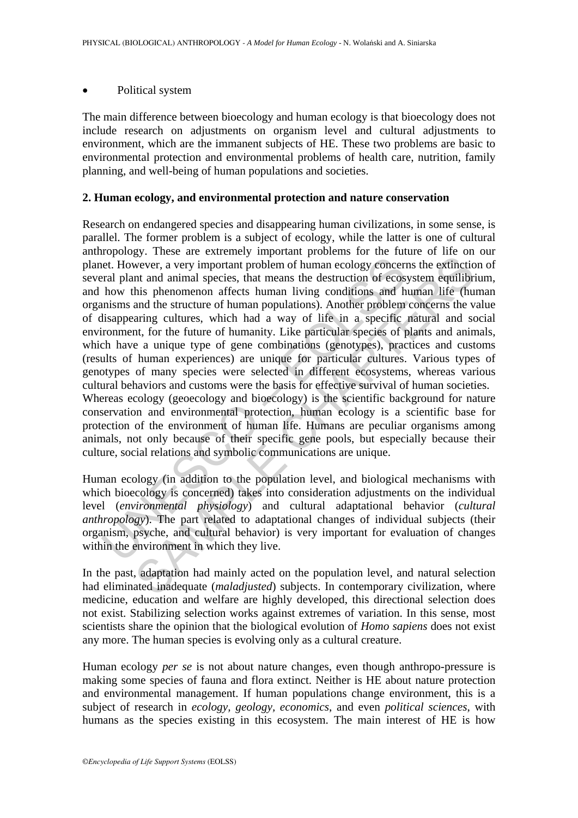#### Political system

The main difference between bioecology and human ecology is that bioecology does not include research on adjustments on organism level and cultural adjustments to environment, which are the immanent subjects of HE. These two problems are basic to environmental protection and environmental problems of health care, nutrition, family planning, and well-being of human populations and societies.

### **2. Human ecology, and environmental protection and nature conservation**

et. However, a very important problem of human ecology concerneal plant and animal species, that means the destruction of ecosy how this phenomenon affects human living conditions and humisms and the structure of human pop strates we cance the mail of the mail of the mail of the mail of the mail of the mail of the main of the sumal receives the extinction of ecosystem equilibrit is phenomeno affects human living conditions and human life (hu Research on endangered species and disappearing human civilizations, in some sense, is parallel. The former problem is a subject of ecology, while the latter is one of cultural anthropology. These are extremely important problems for the future of life on our planet. However, a very important problem of human ecology concerns the extinction of several plant and animal species, that means the destruction of ecosystem equilibrium, and how this phenomenon affects human living conditions and human life (human organisms and the structure of human populations). Another problem concerns the value of disappearing cultures, which had a way of life in a specific natural and social environment, for the future of humanity. Like particular species of plants and animals, which have a unique type of gene combinations (genotypes), practices and customs (results of human experiences) are unique for particular cultures. Various types of genotypes of many species were selected in different ecosystems, whereas various cultural behaviors and customs were the basis for effective survival of human societies. Whereas ecology (geoecology and bioecology) is the scientific background for nature conservation and environmental protection, human ecology is a scientific base for protection of the environment of human life. Humans are peculiar organisms among animals, not only because of their specific gene pools, but especially because their culture, social relations and symbolic communications are unique.

Human ecology (in addition to the population level, and biological mechanisms with which bioecology is concerned) takes into consideration adjustments on the individual level (*environmental physiology*) and cultural adaptational behavior (*cultural anthropology*). The part related to adaptational changes of individual subjects (their organism, psyche, and cultural behavior) is very important for evaluation of changes within the environment in which they live.

In the past, adaptation had mainly acted on the population level, and natural selection had eliminated inadequate (*maladjusted*) subjects. In contemporary civilization, where medicine, education and welfare are highly developed, this directional selection does not exist. Stabilizing selection works against extremes of variation. In this sense, most scientists share the opinion that the biological evolution of *Homo sapiens* does not exist any more. The human species is evolving only as a cultural creature.

Human ecology *per se* is not about nature changes, even though anthropo-pressure is making some species of fauna and flora extinct. Neither is HE about nature protection and environmental management. If human populations change environment, this is a subject of research in *ecology, geology, economics*, and even *political sciences*, with humans as the species existing in this ecosystem. The main interest of HE is how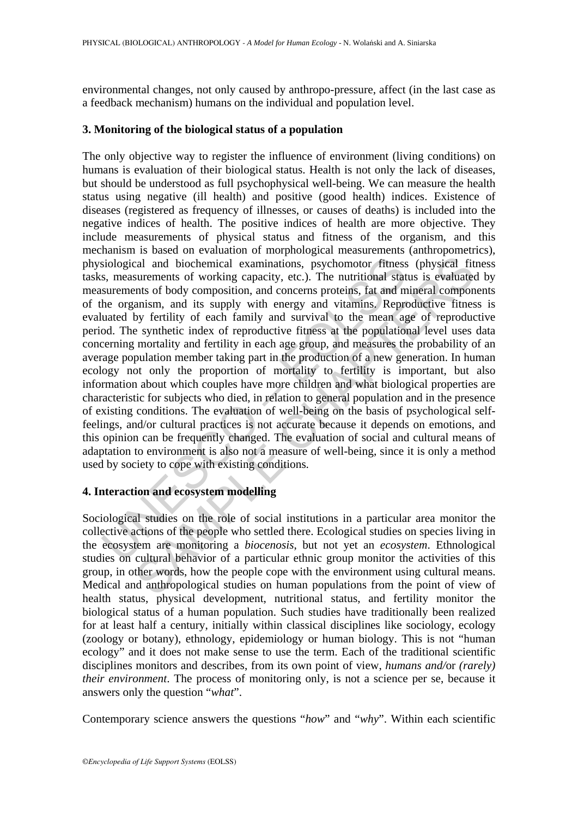environmental changes, not only caused by anthropo-pressure, affect (in the last case as a feedback mechanism) humans on the individual and population level.

#### **3. Monitoring of the biological status of a population**

siological and biochemical examinations, psychomotor fitness, measurements of working capacity, etc.). The nutritional stat surements of body composition, and concerns proteins, fat and m he organism, and it supply with en cal and biochemical examinations, psychomotor fitness (physical fit<br>surements of working capacity, etc.). The nutritional status is evaluate<br>cnts of body composition, and concerns proteins, fat and mineral compon<br>anism, a The only objective way to register the influence of environment (living conditions) on humans is evaluation of their biological status. Health is not only the lack of diseases, but should be understood as full psychophysical well-being. We can measure the health status using negative (ill health) and positive (good health) indices. Existence of diseases (registered as frequency of illnesses, or causes of deaths) is included into the negative indices of health. The positive indices of health are more objective. They include measurements of physical status and fitness of the organism, and this mechanism is based on evaluation of morphological measurements (anthropometrics), physiological and biochemical examinations, psychomotor fitness (physical fitness tasks, measurements of working capacity, etc.). The nutritional status is evaluated by measurements of body composition, and concerns proteins, fat and mineral components of the organism, and its supply with energy and vitamins. Reproductive fitness is evaluated by fertility of each family and survival to the mean age of reproductive period. The synthetic index of reproductive fitness at the populational level uses data concerning mortality and fertility in each age group, and measures the probability of an average population member taking part in the production of a new generation. In human ecology not only the proportion of mortality to fertility is important, but also information about which couples have more children and what biological properties are characteristic for subjects who died, in relation to general population and in the presence of existing conditions. The evaluation of well-being on the basis of psychological selffeelings, and/or cultural practices is not accurate because it depends on emotions, and this opinion can be frequently changed. The evaluation of social and cultural means of adaptation to environment is also not a measure of well-being, since it is only a method used by society to cope with existing conditions.

## **4. Interaction and ecosystem modelling**

Sociological studies on the role of social institutions in a particular area monitor the collective actions of the people who settled there. Ecological studies on species living in the ecosystem are monitoring a *biocenosis*, but not yet an *ecosystem*. Ethnological studies on cultural behavior of a particular ethnic group monitor the activities of this group, in other words, how the people cope with the environment using cultural means. Medical and anthropological studies on human populations from the point of view of health status, physical development, nutritional status, and fertility monitor the biological status of a human population. Such studies have traditionally been realized for at least half a century, initially within classical disciplines like sociology, ecology (zoology or botany), ethnology, epidemiology or human biology. This is not "human ecology" and it does not make sense to use the term. Each of the traditional scientific disciplines monitors and describes, from its own point of view, *humans and/*or *(rarely) their environment*. The process of monitoring only, is not a science per se, because it answers only the question "*what*".

Contemporary science answers the questions "*how*" and "*why*". Within each scientific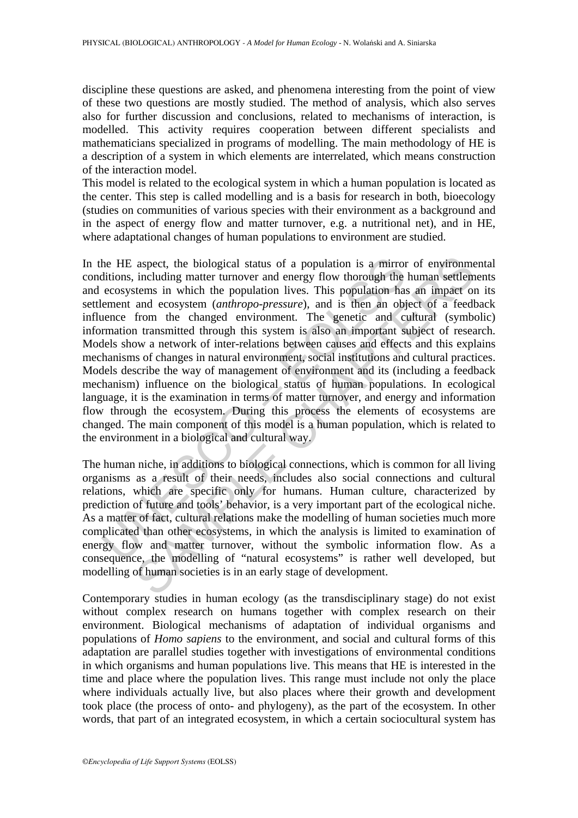discipline these questions are asked, and phenomena interesting from the point of view of these two questions are mostly studied. The method of analysis, which also serves also for further discussion and conclusions, related to mechanisms of interaction, is modelled. This activity requires cooperation between different specialists and mathematicians specialized in programs of modelling. The main methodology of HE is a description of a system in which elements are interrelated, which means construction of the interaction model.

This model is related to the ecological system in which a human population is located as the center. This step is called modelling and is a basis for research in both, bioecology (studies on communities of various species with their environment as a background and in the aspect of energy flow and matter turnover, e.g. a nutritional net), and in HE, where adaptational changes of human populations to environment are studied.

the HE aspect, the biological status of a population is a mirror<br>ditions, including matter turnover and energy flow thorough the<br>ecosystems in which the population lives. This population has<br>ement and ecosystem (*amhropo-p* aspect, the biological status of a population is a mirror of environme<br>including matter turnover and energy flow thorough the human settlem<br>states in which the population lives. This population has an impact on<br>and ecosyst In the HE aspect, the biological status of a population is a mirror of environmental conditions, including matter turnover and energy flow thorough the human settlements and ecosystems in which the population lives. This population has an impact on its settlement and ecosystem (*anthropo-pressure*), and is then an object of a feedback influence from the changed environment. The genetic and cultural (symbolic) information transmitted through this system is also an important subject of research. Models show a network of inter-relations between causes and effects and this explains mechanisms of changes in natural environment, social institutions and cultural practices. Models describe the way of management of environment and its (including a feedback mechanism) influence on the biological status of human populations. In ecological language, it is the examination in terms of matter turnover, and energy and information flow through the ecosystem. During this process the elements of ecosystems are changed. The main component of this model is a human population, which is related to the environment in a biological and cultural way.

The human niche, in additions to biological connections, which is common for all living organisms as a result of their needs, includes also social connections and cultural relations, which are specific only for humans. Human culture, characterized by prediction of future and tools' behavior, is a very important part of the ecological niche. As a matter of fact, cultural relations make the modelling of human societies much more complicated than other ecosystems, in which the analysis is limited to examination of energy flow and matter turnover, without the symbolic information flow. As a consequence, the modelling of "natural ecosystems" is rather well developed, but modelling of human societies is in an early stage of development.

Contemporary studies in human ecology (as the transdisciplinary stage) do not exist without complex research on humans together with complex research on their environment. Biological mechanisms of adaptation of individual organisms and populations of *Homo sapiens* to the environment, and social and cultural forms of this adaptation are parallel studies together with investigations of environmental conditions in which organisms and human populations live. This means that HE is interested in the time and place where the population lives. This range must include not only the place where individuals actually live, but also places where their growth and development took place (the process of onto- and phylogeny), as the part of the ecosystem. In other words, that part of an integrated ecosystem, in which a certain sociocultural system has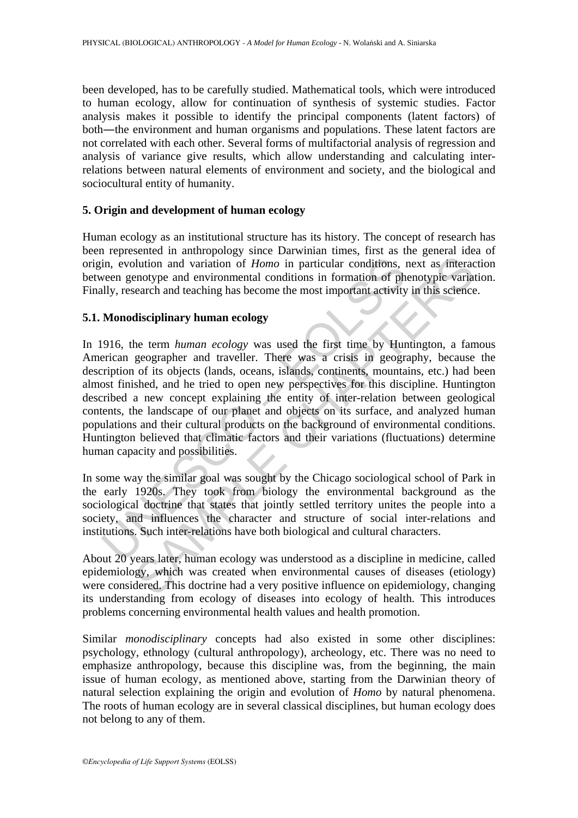been developed, has to be carefully studied. Mathematical tools, which were introduced to human ecology, allow for continuation of synthesis of systemic studies. Factor analysis makes it possible to identify the principal components (latent factors) of both―the environment and human organisms and populations. These latent factors are not correlated with each other. Several forms of multifactorial analysis of regression and analysis of variance give results, which allow understanding and calculating interrelations between natural elements of environment and society, and the biological and sociocultural entity of humanity.

### **5. Origin and development of human ecology**

Human ecology as an institutional structure has its history. The concept of research has been represented in anthropology since Darwinian times, first as the general idea of origin, evolution and variation of *Homo* in particular conditions, next as interaction between genotype and environmental conditions in formation of phenotypic variation. Finally, research and teaching has become the most important activity in this science.

### **5.1. Monodisciplinary human ecology**

in, evolution and variation of *Homo* in particular conditions, ween genotype and environmental conditions in formation of phally, research and teaching has become the most important activity **Monodisciplinary human ecolog** buttion and variation of *Homo* in particular conditions, next as interactionly and variation of *Homo* in particular conditions, next as interactionty and environmental conditions in formation of phenotypic variate earch In 1916, the term *human ecology* was used the first time by Huntington, a famous American geographer and traveller. There was a crisis in geography, because the description of its objects (lands, oceans, islands, continents, mountains, etc.) had been almost finished, and he tried to open new perspectives for this discipline. Huntington described a new concept explaining the entity of inter-relation between geological contents, the landscape of our planet and objects on its surface, and analyzed human populations and their cultural products on the background of environmental conditions. Huntington believed that climatic factors and their variations (fluctuations) determine human capacity and possibilities.

In some way the similar goal was sought by the Chicago sociological school of Park in the early 1920s. They took from biology the environmental background as the sociological doctrine that states that jointly settled territory unites the people into a society, and influences the character and structure of social inter-relations and institutions. Such inter-relations have both biological and cultural characters.

About 20 years later, human ecology was understood as a discipline in medicine, called epidemiology, which was created when environmental causes of diseases (etiology) were considered. This doctrine had a very positive influence on epidemiology, changing its understanding from ecology of diseases into ecology of health. This introduces problems concerning environmental health values and health promotion.

Similar *monodisciplinary* concepts had also existed in some other disciplines: psychology, ethnology (cultural anthropology), archeology, etc. There was no need to emphasize anthropology, because this discipline was, from the beginning, the main issue of human ecology, as mentioned above, starting from the Darwinian theory of natural selection explaining the origin and evolution of *Homo* by natural phenomena. The roots of human ecology are in several classical disciplines, but human ecology does not belong to any of them.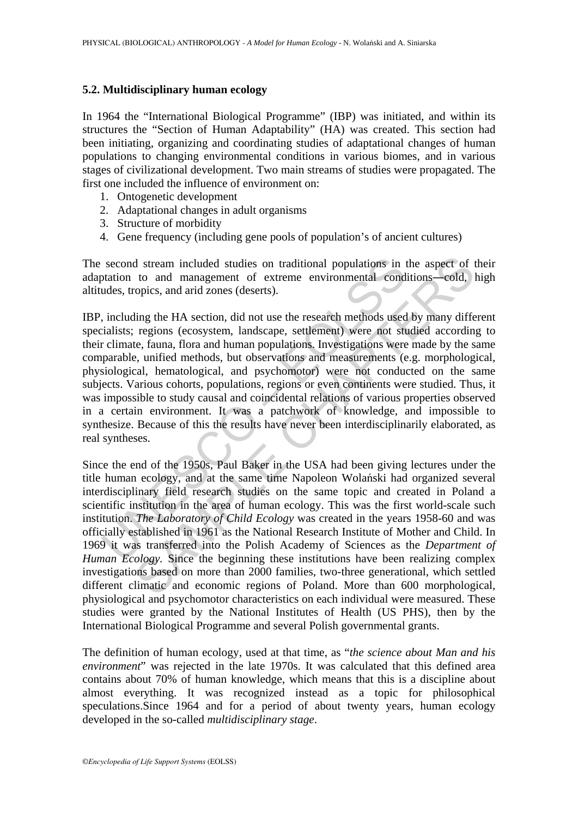### **5.2. Multidisciplinary human ecology**

In 1964 the "International Biological Programme" (IBP) was initiated, and within its structures the "Section of Human Adaptability" (HA) was created. This section had been initiating, organizing and coordinating studies of adaptational changes of human populations to changing environmental conditions in various biomes, and in various stages of civilizational development. Two main streams of studies were propagated. The first one included the influence of environment on:

- 1. Ontogenetic development
- 2. Adaptational changes in adult organisms
- 3. Structure of morbidity
- 4. Gene frequency (including gene pools of population's of ancient cultures)

The second stream included studies on traditional populations in the aspect of their adaptation to and management of extreme environmental conditions―cold, high altitudes, tropics, and arid zones (deserts).

second stream included studies on traditional populations in to<br>tation to and management of extreme environmental cond<br>udes, tropics, and arid zones (deserts).<br>including the HA section, did not use the research methods use IBP, including the HA section, did not use the research methods used by many different specialists; regions (ecosystem, landscape, settlement) were not studied according to their climate, fauna, flora and human populations. Investigations were made by the same comparable, unified methods, but observations and measurements (e.g. morphological, physiological, hematological, and psychomotor) were not conducted on the same subjects. Various cohorts, populations, regions or even continents were studied. Thus, it was impossible to study causal and coincidental relations of various properties observed in a certain environment. It was a patchwork of knowledge, and impossible to synthesize. Because of this the results have never been interdisciplinarily elaborated, as real syntheses.

d stream included studies on traditional populations in the aspect of to and management of extreme environmental conditions—cold, ropics, and arid zones (deserts).<br>
ling the HA section, did not use the research methods use Since the end of the 1950s, Paul Baker in the USA had been giving lectures under the title human ecology, and at the same time Napoleon Wolański had organized several interdisciplinary field research studies on the same topic and created in Poland a scientific institution in the area of human ecology. This was the first world-scale such institution. *The Laboratory of Child Ecology* was created in the years 1958-60 and was officially established in 1961 as the National Research Institute of Mother and Child. In 1969 it was transferred into the Polish Academy of Sciences as the *Department of Human Ecology.* Since the beginning these institutions have been realizing complex investigations based on more than 2000 families, two-three generational, which settled different climatic and economic regions of Poland. More than 600 morphological, physiological and psychomotor characteristics on each individual were measured. These studies were granted by the National Institutes of Health (US PHS), then by the International Biological Programme and several Polish governmental grants.

The definition of human ecology, used at that time, as "*the science about Man and his environment*" was rejected in the late 1970s. It was calculated that this defined area contains about 70% of human knowledge, which means that this is a discipline about almost everything. It was recognized instead as a topic for philosophical speculations.Since 1964 and for a period of about twenty years, human ecology developed in the so-called *multidisciplinary stage*.